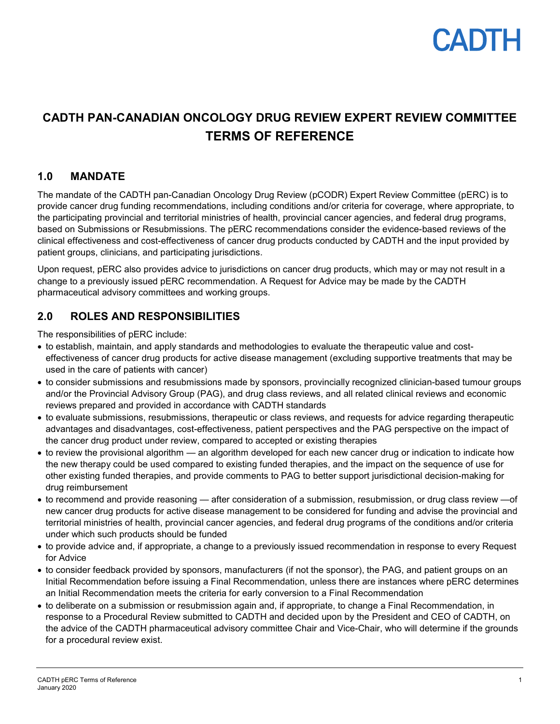

## **CADTH PAN-CANADIAN ONCOLOGY DRUG REVIEW EXPERT REVIEW COMMITTEE TERMS OF REFERENCE**

### **1.0 MANDATE**

The mandate of the CADTH pan-Canadian Oncology Drug Review (pCODR) Expert Review Committee (pERC) is to provide cancer drug funding recommendations, including conditions and/or criteria for coverage, where appropriate, to the participating provincial and territorial ministries of health, provincial cancer agencies, and federal drug programs, based on Submissions or Resubmissions. The pERC recommendations consider the evidence-based reviews of the clinical effectiveness and cost-effectiveness of cancer drug products conducted by CADTH and the input provided by patient groups, clinicians, and participating jurisdictions.

Upon request, pERC also provides advice to jurisdictions on cancer drug products, which may or may not result in a change to a previously issued pERC recommendation. A Request for Advice may be made by the CADTH pharmaceutical advisory committees and working groups.

## **2.0 ROLES AND RESPONSIBILITIES**

The responsibilities of pERC include:

- to establish, maintain, and apply standards and methodologies to evaluate the therapeutic value and costeffectiveness of cancer drug products for active disease management (excluding supportive treatments that may be used in the care of patients with cancer)
- to consider submissions and resubmissions made by sponsors, provincially recognized clinician-based tumour groups and/or the Provincial Advisory Group (PAG), and drug class reviews, and all related clinical reviews and economic reviews prepared and provided in accordance with CADTH standards
- to evaluate submissions, resubmissions, therapeutic or class reviews, and requests for advice regarding therapeutic advantages and disadvantages, cost-effectiveness, patient perspectives and the PAG perspective on the impact of the cancer drug product under review, compared to accepted or existing therapies
- to review the provisional algorithm an algorithm developed for each new cancer drug or indication to indicate how the new therapy could be used compared to existing funded therapies, and the impact on the sequence of use for other existing funded therapies, and provide comments to PAG to better support jurisdictional decision-making for drug reimbursement
- to recommend and provide reasoning after consideration of a submission, resubmission, or drug class review —of new cancer drug products for active disease management to be considered for funding and advise the provincial and territorial ministries of health, provincial cancer agencies, and federal drug programs of the conditions and/or criteria under which such products should be funded
- to provide advice and, if appropriate, a change to a previously issued recommendation in response to every Request for Advice
- to consider feedback provided by sponsors, manufacturers (if not the sponsor), the PAG, and patient groups on an Initial Recommendation before issuing a Final Recommendation, unless there are instances where pERC determines an Initial Recommendation meets the criteria for early conversion to a Final Recommendation
- to deliberate on a submission or resubmission again and, if appropriate, to change a Final Recommendation, in response to a Procedural Review submitted to CADTH and decided upon by the President and CEO of CADTH, on the advice of the CADTH pharmaceutical advisory committee Chair and Vice-Chair, who will determine if the grounds for a procedural review exist.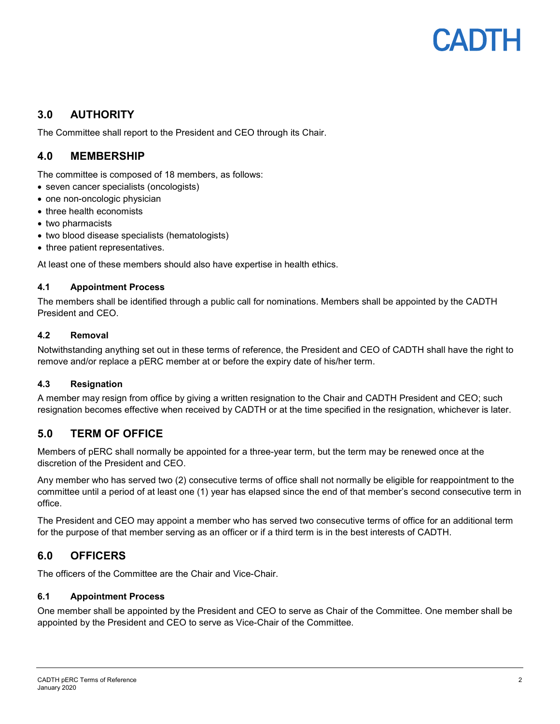## CADIH

## **3.0 AUTHORITY**

The Committee shall report to the President and CEO through its Chair.

## **4.0 MEMBERSHIP**

The committee is composed of 18 members, as follows:

- seven cancer specialists (oncologists)
- one non-oncologic physician
- three health economists
- two pharmacists
- two blood disease specialists (hematologists)
- three patient representatives.

At least one of these members should also have expertise in health ethics.

#### **4.1 Appointment Process**

The members shall be identified through a public call for nominations. Members shall be appointed by the CADTH President and CEO.

#### **4.2 Removal**

Notwithstanding anything set out in these terms of reference, the President and CEO of CADTH shall have the right to remove and/or replace a pERC member at or before the expiry date of his/her term.

#### **4.3 Resignation**

A member may resign from office by giving a written resignation to the Chair and CADTH President and CEO; such resignation becomes effective when received by CADTH or at the time specified in the resignation, whichever is later.

## **5.0 TERM OF OFFICE**

Members of pERC shall normally be appointed for a three-year term, but the term may be renewed once at the discretion of the President and CEO.

Any member who has served two (2) consecutive terms of office shall not normally be eligible for reappointment to the committee until a period of at least one (1) year has elapsed since the end of that member's second consecutive term in office.

The President and CEO may appoint a member who has served two consecutive terms of office for an additional term for the purpose of that member serving as an officer or if a third term is in the best interests of CADTH.

## **6.0 OFFICERS**

The officers of the Committee are the Chair and Vice-Chair.

#### **6.1 Appointment Process**

One member shall be appointed by the President and CEO to serve as Chair of the Committee. One member shall be appointed by the President and CEO to serve as Vice-Chair of the Committee.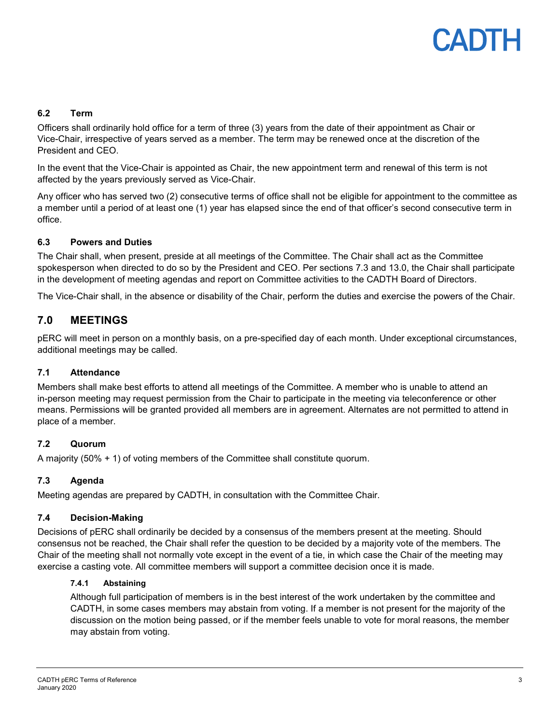## CADIH

#### **6.2 Term**

Officers shall ordinarily hold office for a term of three (3) years from the date of their appointment as Chair or Vice-Chair, irrespective of years served as a member. The term may be renewed once at the discretion of the President and CEO.

In the event that the Vice-Chair is appointed as Chair, the new appointment term and renewal of this term is not affected by the years previously served as Vice-Chair.

Any officer who has served two (2) consecutive terms of office shall not be eligible for appointment to the committee as a member until a period of at least one (1) year has elapsed since the end of that officer's second consecutive term in office.

#### **6.3 Powers and Duties**

The Chair shall, when present, preside at all meetings of the Committee. The Chair shall act as the Committee spokesperson when directed to do so by the President and CEO. Per sections 7.3 and 13.0, the Chair shall participate in the development of meeting agendas and report on Committee activities to the CADTH Board of Directors.

The Vice-Chair shall, in the absence or disability of the Chair, perform the duties and exercise the powers of the Chair.

### **7.0 MEETINGS**

pERC will meet in person on a monthly basis, on a pre-specified day of each month. Under exceptional circumstances, additional meetings may be called.

#### **7.1 Attendance**

Members shall make best efforts to attend all meetings of the Committee. A member who is unable to attend an in-person meeting may request permission from the Chair to participate in the meeting via teleconference or other means. Permissions will be granted provided all members are in agreement. Alternates are not permitted to attend in place of a member.

#### **7.2 Quorum**

A majority (50% + 1) of voting members of the Committee shall constitute quorum.

#### **7.3 Agenda**

Meeting agendas are prepared by CADTH, in consultation with the Committee Chair.

#### **7.4 Decision-Making**

Decisions of pERC shall ordinarily be decided by a consensus of the members present at the meeting. Should consensus not be reached, the Chair shall refer the question to be decided by a majority vote of the members. The Chair of the meeting shall not normally vote except in the event of a tie, in which case the Chair of the meeting may exercise a casting vote. All committee members will support a committee decision once it is made.

#### **7.4.1 Abstaining**

Although full participation of members is in the best interest of the work undertaken by the committee and CADTH, in some cases members may abstain from voting. If a member is not present for the majority of the discussion on the motion being passed, or if the member feels unable to vote for moral reasons, the member may abstain from voting.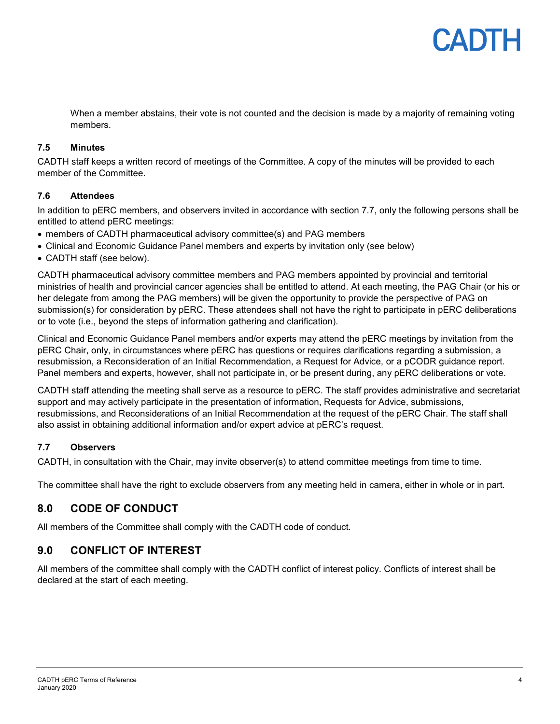

When a member abstains, their vote is not counted and the decision is made by a majority of remaining voting members.

#### **7.5 Minutes**

CADTH staff keeps a written record of meetings of the Committee. A copy of the minutes will be provided to each member of the Committee.

#### **7.6 Attendees**

In addition to pERC members, and observers invited in accordance with section 7.7, only the following persons shall be entitled to attend pERC meetings:

- members of CADTH pharmaceutical advisory committee(s) and PAG members
- Clinical and Economic Guidance Panel members and experts by invitation only (see below)
- CADTH staff (see below).

CADTH pharmaceutical advisory committee members and PAG members appointed by provincial and territorial ministries of health and provincial cancer agencies shall be entitled to attend. At each meeting, the PAG Chair (or his or her delegate from among the PAG members) will be given the opportunity to provide the perspective of PAG on submission(s) for consideration by pERC. These attendees shall not have the right to participate in pERC deliberations or to vote (i.e., beyond the steps of information gathering and clarification).

Clinical and Economic Guidance Panel members and/or experts may attend the pERC meetings by invitation from the pERC Chair, only, in circumstances where pERC has questions or requires clarifications regarding a submission, a resubmission, a Reconsideration of an Initial Recommendation, a Request for Advice, or a pCODR guidance report. Panel members and experts, however, shall not participate in, or be present during, any pERC deliberations or vote.

CADTH staff attending the meeting shall serve as a resource to pERC. The staff provides administrative and secretariat support and may actively participate in the presentation of information, Requests for Advice, submissions, resubmissions, and Reconsiderations of an Initial Recommendation at the request of the pERC Chair. The staff shall also assist in obtaining additional information and/or expert advice at pERC's request.

#### **7.7 Observers**

CADTH, in consultation with the Chair, may invite observer(s) to attend committee meetings from time to time.

The committee shall have the right to exclude observers from any meeting held in camera, either in whole or in part.

## **8.0 CODE OF CONDUCT**

All members of the Committee shall comply with the CADTH code of conduct*.*

## **9.0 CONFLICT OF INTEREST**

All members of the committee shall comply with the CADTH conflict of interest policy. Conflicts of interest shall be declared at the start of each meeting.